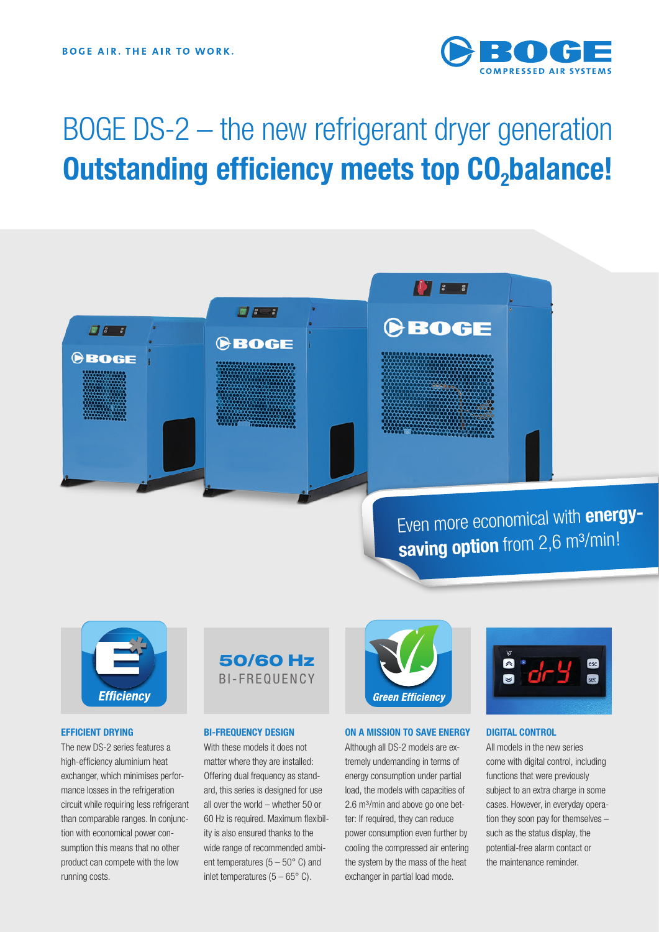

# BOGE DS-2 – the new refrigerant dryer generation **Outstanding efficiency meets top CO<sub>2</sub>balance!**

## Even more economical with **energy**saving option from 2,6 m<sup>3</sup>/min!



83

**BOGE** 

#### **EFFICIENT DRYING**

The new DS-2 series features a high-efficiency aluminium heat exchanger, which minimises performance losses in the refrigeration circuit while requiring less refrigerant than comparable ranges. In conjunction with economical power consumption this means that no other product can compete with the low running costs.



 $\frac{1}{2}$   $\frac{1}{2}$   $\frac{1}{2}$ 

CBOGE

#### **BI-FREQUENCY DESIGN**

With these models it does not matter where they are installed: Offering dual frequency as standard, this series is designed for use all over the world – whether 50 or 60 Hz is required. Maximum flexibility is also ensured thanks to the wide range of recommended ambient temperatures  $(5 - 50^{\circ} \text{ C})$  and inlet temperatures  $(5 - 65^{\circ} \text{ C})$ .



**IN B B** 

CBOGE

#### **ON A MISSION TO SAVE ENERGY**

Although all DS-2 models are extremely undemanding in terms of energy consumption under partial load, the models with capacities of 2.6 m<sup>3</sup>/min and above go one better: If required, they can reduce power consumption even further by cooling the compressed air entering the system by the mass of the heat exchanger in partial load mode.



#### **DIGITAL CONTROL**

All models in the new series come with digital control, including functions that were previously subject to an extra charge in some cases. However, in everyday operation they soon pay for themselves – such as the status display, the potential-free alarm contact or the maintenance reminder.